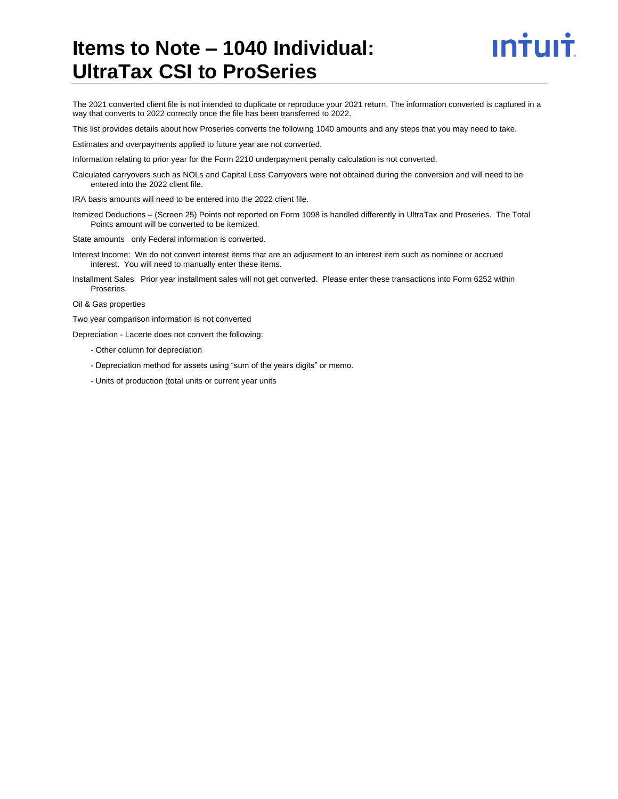# **Items to Note – 1040 Individual: UltraTax CSI to ProSeries**



The 2021 converted client file is not intended to duplicate or reproduce your 2021 return. The information converted is captured in a way that converts to 2022 correctly once the file has been transferred to 2022.

This list provides details about how Proseries converts the following 1040 amounts and any steps that you may need to take.

Estimates and overpayments applied to future year are not converted.

Information relating to prior year for the Form 2210 underpayment penalty calculation is not converted.

Calculated carryovers such as NOLs and Capital Loss Carryovers were not obtained during the conversion and will need to be entered into the 2022 client file.

IRA basis amounts will need to be entered into the 2022 client file.

Itemized Deductions – (Screen 25) Points not reported on Form 1098 is handled differently in UltraTax and Proseries. The Total Points amount will be converted to be itemized.

State amounts only Federal information is converted.

Interest Income: We do not convert interest items that are an adjustment to an interest item such as nominee or accrued interest. You will need to manually enter these items.

Installment Sales Prior year installment sales will not get converted. Please enter these transactions into Form 6252 within Proseries.

Oil & Gas properties

Two year comparison information is not converted

Depreciation - Lacerte does not convert the following:

- Other column for depreciation
- Depreciation method for assets using "sum of the years digits" or memo.
- Units of production (total units or current year units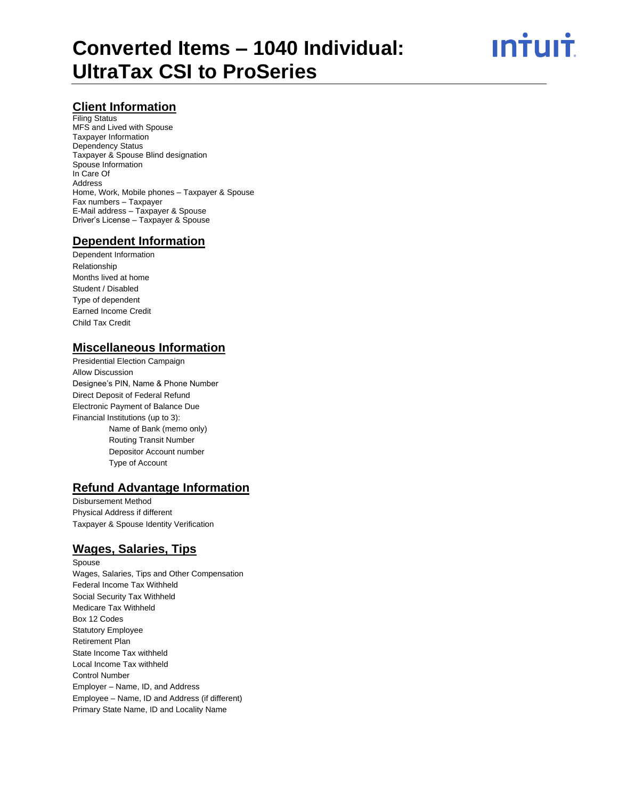<u>ıntuıt</u>

#### **Client Information**

Filing Status MFS and Lived with Spouse Taxpayer Information Dependency Status Taxpayer & Spouse Blind designation Spouse Information In Care Of Address Home, Work, Mobile phones – Taxpayer & Spouse Fax numbers – Taxpayer E-Mail address – Taxpayer & Spouse Driver's License – Taxpayer & Spouse

#### **Dependent Information**

Dependent Information Relationship Months lived at home Student / Disabled Type of dependent Earned Income Credit Child Tax Credit

#### **Miscellaneous Information**

Presidential Election Campaign Allow Discussion Designee's PIN, Name & Phone Number Direct Deposit of Federal Refund Electronic Payment of Balance Due Financial Institutions (up to 3): Name of Bank (memo only) Routing Transit Number Depositor Account number Type of Account

#### **Refund Advantage Information**

Disbursement Method Physical Address if different Taxpayer & Spouse Identity Verification

#### **Wages, Salaries, Tips**

Spouse Wages, Salaries, Tips and Other Compensation Federal Income Tax Withheld Social Security Tax Withheld Medicare Tax Withheld Box 12 Codes Statutory Employee Retirement Plan State Income Tax withheld Local Income Tax withheld Control Number Employer – Name, ID, and Address Employee – Name, ID and Address (if different) Primary State Name, ID and Locality Name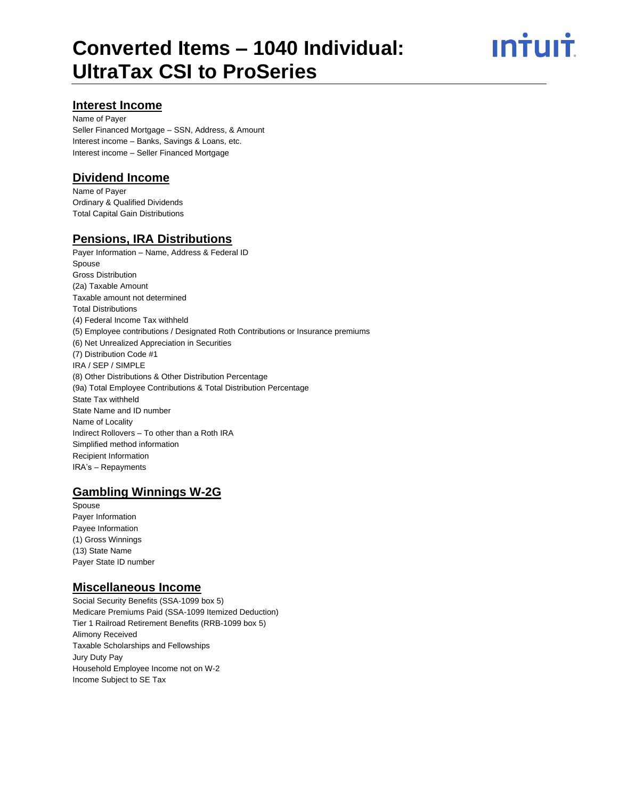# ın<del>i</del>uı<del>i</del>

#### **Interest Income**

Name of Payer Seller Financed Mortgage – SSN, Address, & Amount Interest income – Banks, Savings & Loans, etc. Interest income – Seller Financed Mortgage

#### **Dividend Income**

Name of Payer Ordinary & Qualified Dividends Total Capital Gain Distributions

#### **Pensions, IRA Distributions**

Payer Information – Name, Address & Federal ID Spouse Gross Distribution (2a) Taxable Amount Taxable amount not determined Total Distributions (4) Federal Income Tax withheld (5) Employee contributions / Designated Roth Contributions or Insurance premiums (6) Net Unrealized Appreciation in Securities (7) Distribution Code #1 IRA / SEP / SIMPLE (8) Other Distributions & Other Distribution Percentage (9a) Total Employee Contributions & Total Distribution Percentage State Tax withheld State Name and ID number Name of Locality Indirect Rollovers – To other than a Roth IRA Simplified method information Recipient Information IRA's – Repayments

#### **Gambling Winnings W-2G**

Spouse Payer Information Payee Information (1) Gross Winnings (13) State Name Payer State ID number

#### **Miscellaneous Income**

Social Security Benefits (SSA-1099 box 5) Medicare Premiums Paid (SSA-1099 Itemized Deduction) Tier 1 Railroad Retirement Benefits (RRB-1099 box 5) Alimony Received Taxable Scholarships and Fellowships Jury Duty Pay Household Employee Income not on W-2 Income Subject to SE Tax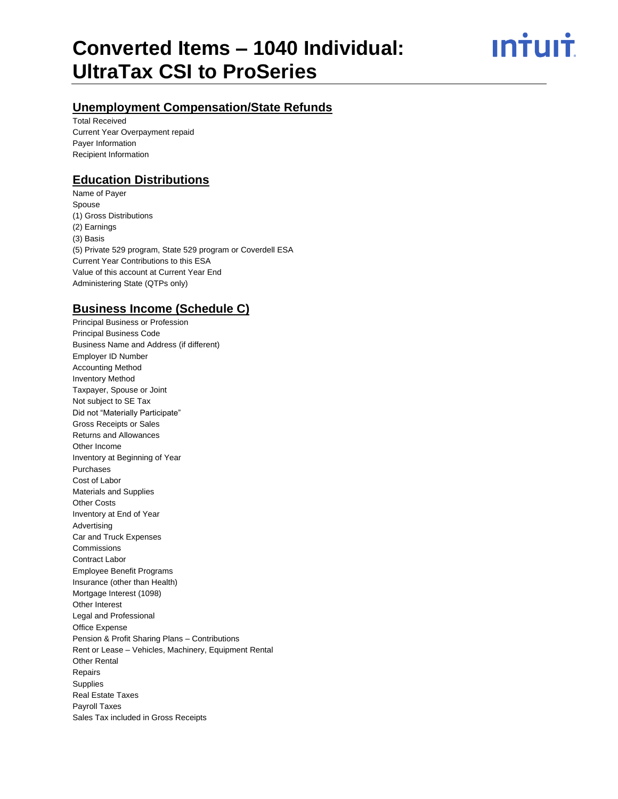ın†uı†

### **Unemployment Compensation/State Refunds**

Total Received Current Year Overpayment repaid Payer Information Recipient Information

#### **Education Distributions**

Name of Payer Spouse (1) Gross Distributions (2) Earnings (3) Basis (5) Private 529 program, State 529 program or Coverdell ESA Current Year Contributions to this ESA Value of this account at Current Year End Administering State (QTPs only)

#### **Business Income (Schedule C)**

Principal Business or Profession Principal Business Code Business Name and Address (if different) Employer ID Number Accounting Method Inventory Method Taxpayer, Spouse or Joint Not subject to SE Tax Did not "Materially Participate" Gross Receipts or Sales Returns and Allowances Other Income Inventory at Beginning of Year Purchases Cost of Labor Materials and Supplies Other Costs Inventory at End of Year Advertising Car and Truck Expenses Commissions Contract Labor Employee Benefit Programs Insurance (other than Health) Mortgage Interest (1098) Other Interest Legal and Professional Office Expense Pension & Profit Sharing Plans – Contributions Rent or Lease – Vehicles, Machinery, Equipment Rental Other Rental Repairs Supplies Real Estate Taxes Payroll Taxes Sales Tax included in Gross Receipts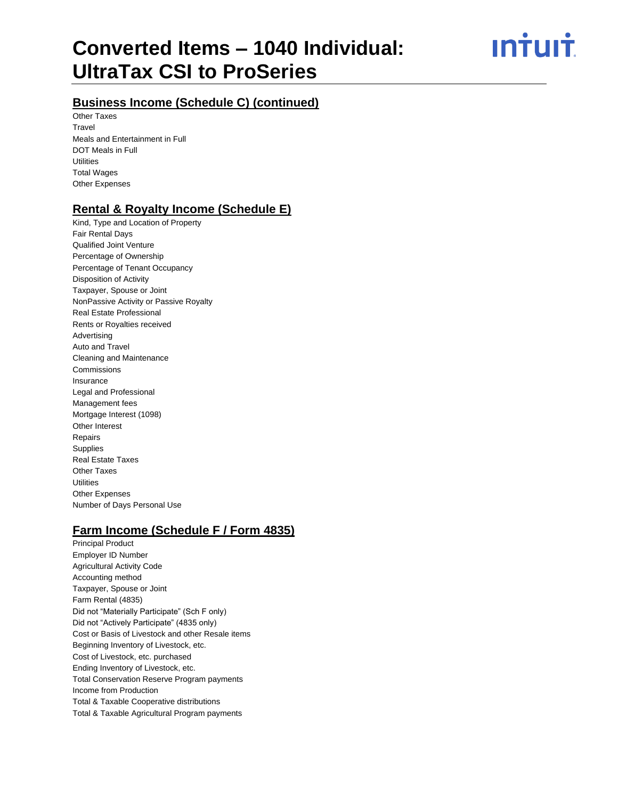ın<del>i</del>uı<del>i</del>

## **Business Income (Schedule C) (continued)**

Other Taxes Travel Meals and Entertainment in Full DOT Meals in Full **Utilities** Total Wages Other Expenses

#### **Rental & Royalty Income (Schedule E)**

Kind, Type and Location of Property Fair Rental Days Qualified Joint Venture Percentage of Ownership Percentage of Tenant Occupancy Disposition of Activity Taxpayer, Spouse or Joint NonPassive Activity or Passive Royalty Real Estate Professional Rents or Royalties received Advertising Auto and Travel Cleaning and Maintenance Commissions Insurance Legal and Professional Management fees Mortgage Interest (1098) Other Interest Repairs Supplies Real Estate Taxes Other Taxes Utilities Other Expenses Number of Days Personal Use

## **Farm Income (Schedule F / Form 4835)**

Principal Product Employer ID Number Agricultural Activity Code Accounting method Taxpayer, Spouse or Joint Farm Rental (4835) Did not "Materially Participate" (Sch F only) Did not "Actively Participate" (4835 only) Cost or Basis of Livestock and other Resale items Beginning Inventory of Livestock, etc. Cost of Livestock, etc. purchased Ending Inventory of Livestock, etc. Total Conservation Reserve Program payments Income from Production Total & Taxable Cooperative distributions Total & Taxable Agricultural Program payments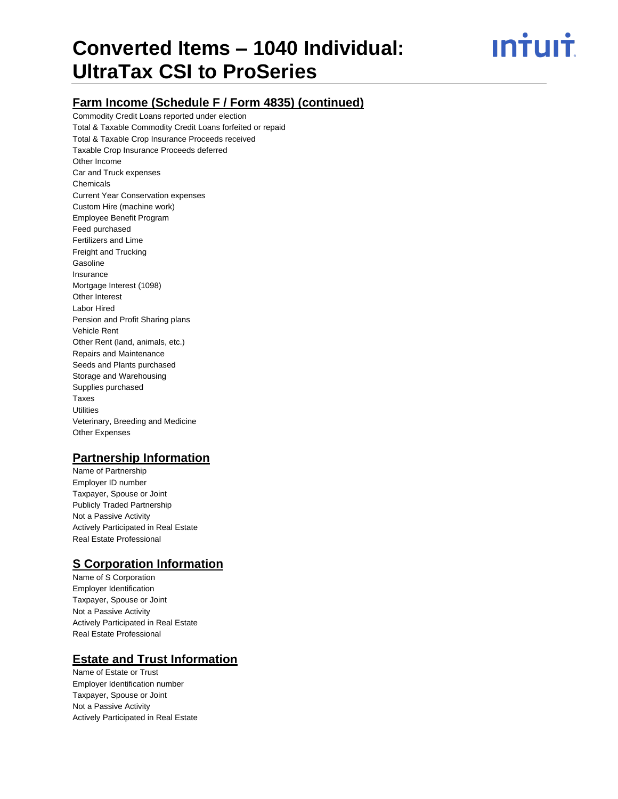## **Farm Income (Schedule F / Form 4835) (continued)**

Commodity Credit Loans reported under election Total & Taxable Commodity Credit Loans forfeited or repaid Total & Taxable Crop Insurance Proceeds received Taxable Crop Insurance Proceeds deferred Other Income Car and Truck expenses Chemicals Current Year Conservation expenses Custom Hire (machine work) Employee Benefit Program Feed purchased Fertilizers and Lime Freight and Trucking Gasoline Insurance Mortgage Interest (1098) Other Interest Labor Hired Pension and Profit Sharing plans Vehicle Rent Other Rent (land, animals, etc.) Repairs and Maintenance Seeds and Plants purchased Storage and Warehousing Supplies purchased Taxes **Utilities** Veterinary, Breeding and Medicine Other Expenses

#### **Partnership Information**

Name of Partnership Employer ID number Taxpayer, Spouse or Joint Publicly Traded Partnership Not a Passive Activity Actively Participated in Real Estate Real Estate Professional

#### **S Corporation Information**

Name of S Corporation Employer Identification Taxpayer, Spouse or Joint Not a Passive Activity Actively Participated in Real Estate Real Estate Professional

#### **Estate and Trust Information**

Name of Estate or Trust Employer Identification number Taxpayer, Spouse or Joint Not a Passive Activity Actively Participated in Real Estate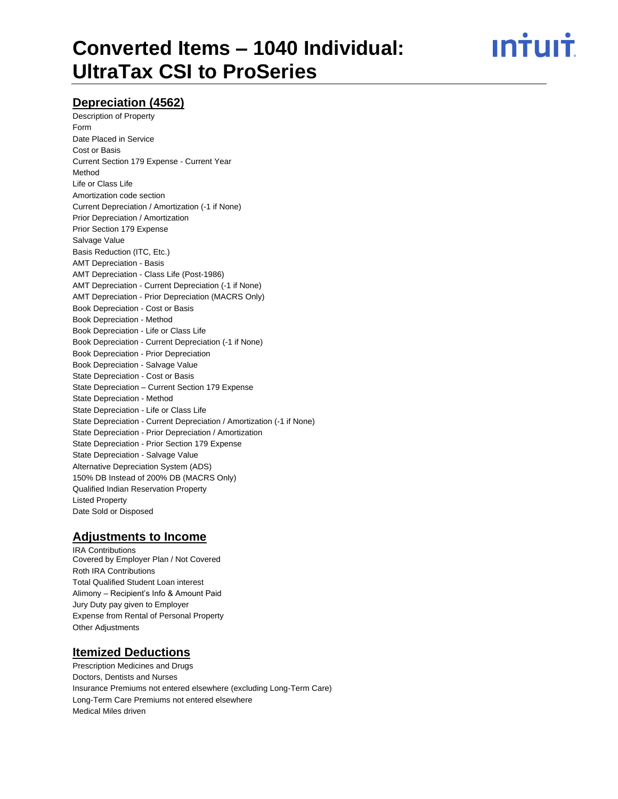<u>ıntuıt</u>

## **Depreciation (4562)**

Description of Property Form Date Placed in Service Cost or Basis Current Section 179 Expense - Current Year Method Life or Class Life Amortization code section Current Depreciation / Amortization (-1 if None) Prior Depreciation / Amortization Prior Section 179 Expense Salvage Value Basis Reduction (ITC, Etc.) AMT Depreciation - Basis AMT Depreciation - Class Life (Post-1986) AMT Depreciation - Current Depreciation (-1 if None) AMT Depreciation - Prior Depreciation (MACRS Only) Book Depreciation - Cost or Basis Book Depreciation - Method Book Depreciation - Life or Class Life Book Depreciation - Current Depreciation (-1 if None) Book Depreciation - Prior Depreciation Book Depreciation - Salvage Value State Depreciation - Cost or Basis State Depreciation – Current Section 179 Expense State Depreciation - Method State Depreciation - Life or Class Life State Depreciation - Current Depreciation / Amortization (-1 if None) State Depreciation - Prior Depreciation / Amortization State Depreciation - Prior Section 179 Expense State Depreciation - Salvage Value Alternative Depreciation System (ADS) 150% DB Instead of 200% DB (MACRS Only) Qualified Indian Reservation Property Listed Property Date Sold or Disposed

## **Adjustments to Income**

IRA Contributions Covered by Employer Plan / Not Covered Roth IRA Contributions Total Qualified Student Loan interest Alimony – Recipient's Info & Amount Paid Jury Duty pay given to Employer Expense from Rental of Personal Property Other Adjustments

#### **Itemized Deductions**

Prescription Medicines and Drugs Doctors, Dentists and Nurses Insurance Premiums not entered elsewhere (excluding Long-Term Care) Long-Term Care Premiums not entered elsewhere Medical Miles driven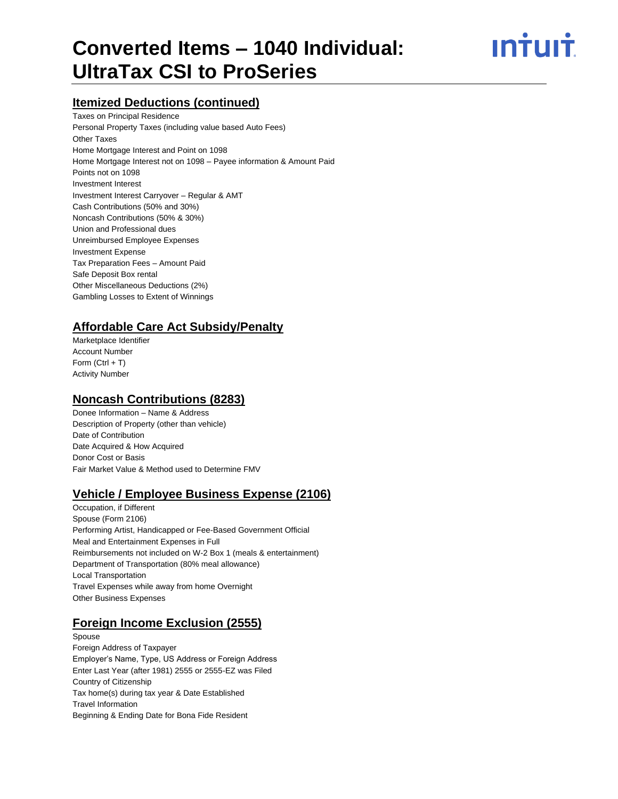# <u>ıntuıt</u>

## **Itemized Deductions (continued)**

Taxes on Principal Residence Personal Property Taxes (including value based Auto Fees) Other Taxes Home Mortgage Interest and Point on 1098 Home Mortgage Interest not on 1098 – Payee information & Amount Paid Points not on 1098 Investment Interest Investment Interest Carryover – Regular & AMT Cash Contributions (50% and 30%) Noncash Contributions (50% & 30%) Union and Professional dues Unreimbursed Employee Expenses Investment Expense Tax Preparation Fees – Amount Paid Safe Deposit Box rental Other Miscellaneous Deductions (2%) Gambling Losses to Extent of Winnings

## **Affordable Care Act Subsidy/Penalty**

Marketplace Identifier Account Number Form  $(CtrI + T)$ Activity Number

#### **Noncash Contributions (8283)**

Donee Information – Name & Address Description of Property (other than vehicle) Date of Contribution Date Acquired & How Acquired Donor Cost or Basis Fair Market Value & Method used to Determine FMV

## **Vehicle / Employee Business Expense (2106)**

Occupation, if Different Spouse (Form 2106) Performing Artist, Handicapped or Fee-Based Government Official Meal and Entertainment Expenses in Full Reimbursements not included on W-2 Box 1 (meals & entertainment) Department of Transportation (80% meal allowance) Local Transportation Travel Expenses while away from home Overnight Other Business Expenses

## **Foreign Income Exclusion (2555)**

Spouse Foreign Address of Taxpayer Employer's Name, Type, US Address or Foreign Address Enter Last Year (after 1981) 2555 or 2555-EZ was Filed Country of Citizenship Tax home(s) during tax year & Date Established Travel Information Beginning & Ending Date for Bona Fide Resident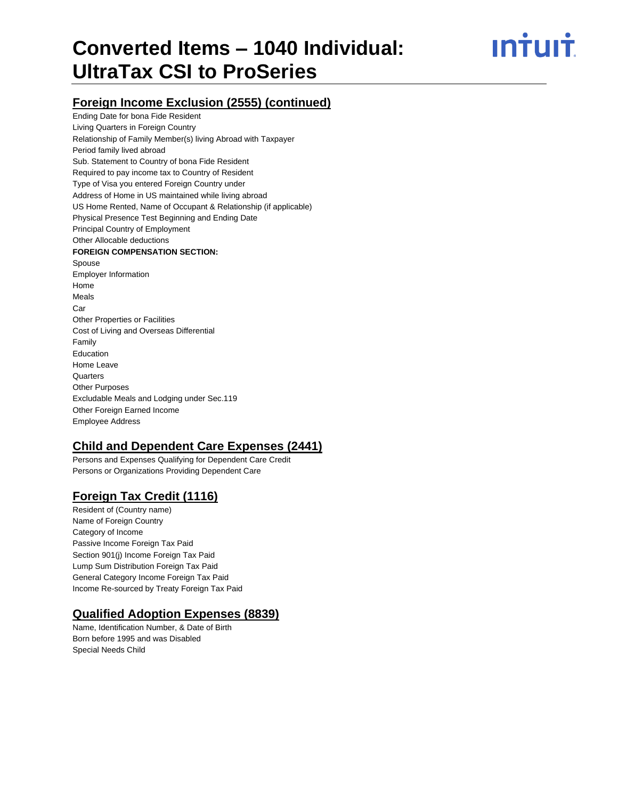# <u>ıntuıt</u>

## **Foreign Income Exclusion (2555) (continued)**

Ending Date for bona Fide Resident Living Quarters in Foreign Country Relationship of Family Member(s) living Abroad with Taxpayer Period family lived abroad Sub. Statement to Country of bona Fide Resident Required to pay income tax to Country of Resident Type of Visa you entered Foreign Country under Address of Home in US maintained while living abroad US Home Rented, Name of Occupant & Relationship (if applicable) Physical Presence Test Beginning and Ending Date Principal Country of Employment Other Allocable deductions **FOREIGN COMPENSATION SECTION:** Spouse Employer Information Home Meals Car Other Properties or Facilities Cost of Living and Overseas Differential Family Education Home Leave **Quarters** Other Purposes Excludable Meals and Lodging under Sec.119 Other Foreign Earned Income Employee Address

#### **Child and Dependent Care Expenses (2441)**

Persons and Expenses Qualifying for Dependent Care Credit Persons or Organizations Providing Dependent Care

## **Foreign Tax Credit (1116)**

Resident of (Country name) Name of Foreign Country Category of Income Passive Income Foreign Tax Paid Section 901(j) Income Foreign Tax Paid Lump Sum Distribution Foreign Tax Paid General Category Income Foreign Tax Paid Income Re-sourced by Treaty Foreign Tax Paid

#### **Qualified Adoption Expenses (8839)**

Name, Identification Number, & Date of Birth Born before 1995 and was Disabled Special Needs Child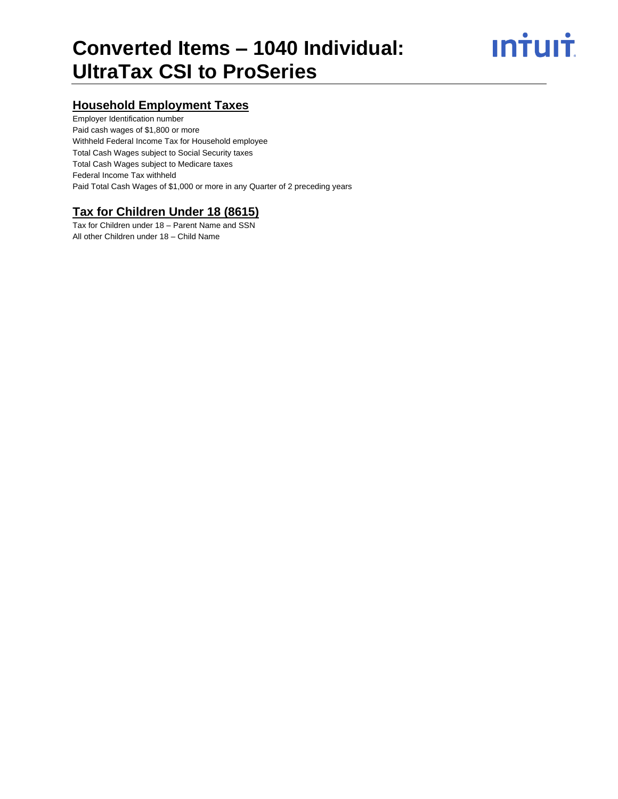# **Intuit**

## **Household Employment Taxes**

Employer Identification number Paid cash wages of \$1,800 or more Withheld Federal Income Tax for Household employee Total Cash Wages subject to Social Security taxes Total Cash Wages subject to Medicare taxes Federal Income Tax withheld Paid Total Cash Wages of \$1,000 or more in any Quarter of 2 preceding years

# **Tax for Children Under 18 (8615)**

Tax for Children under 18 – Parent Name and SSN All other Children under 18 – Child Name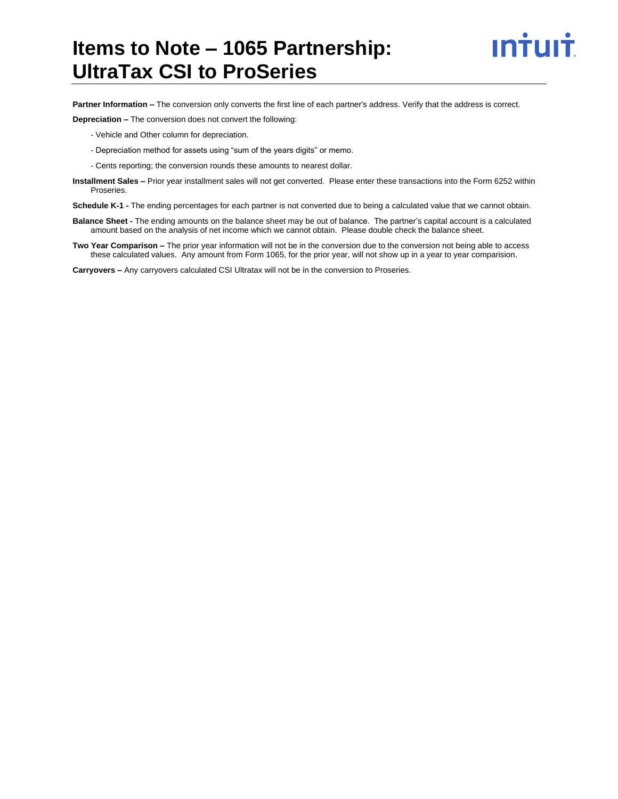# **Items to Note – 1065 Partnership: UltraTax CSI to ProSeries**



**Partner Information –** The conversion only converts the first line of each partner's address. Verify that the address is correct.

**Depreciation –** The conversion does not convert the following:

- Vehicle and Other column for depreciation.
- Depreciation method for assets using "sum of the years digits" or memo.
- Cents reporting; the conversion rounds these amounts to nearest dollar.
- **Installment Sales –** Prior year installment sales will not get converted. Please enter these transactions into the Form 6252 within Proseries.

**Schedule K-1 -** The ending percentages for each partner is not converted due to being a calculated value that we cannot obtain.

- **Balance Sheet -** The ending amounts on the balance sheet may be out of balance. The partner's capital account is a calculated amount based on the analysis of net income which we cannot obtain. Please double check the balance sheet.
- **Two Year Comparison –** The prior year information will not be in the conversion due to the conversion not being able to access these calculated values. Any amount from Form 1065, for the prior year, will not show up in a year to year comparision.

**Carryovers –** Any carryovers calculated CSI Ultratax will not be in the conversion to Proseries.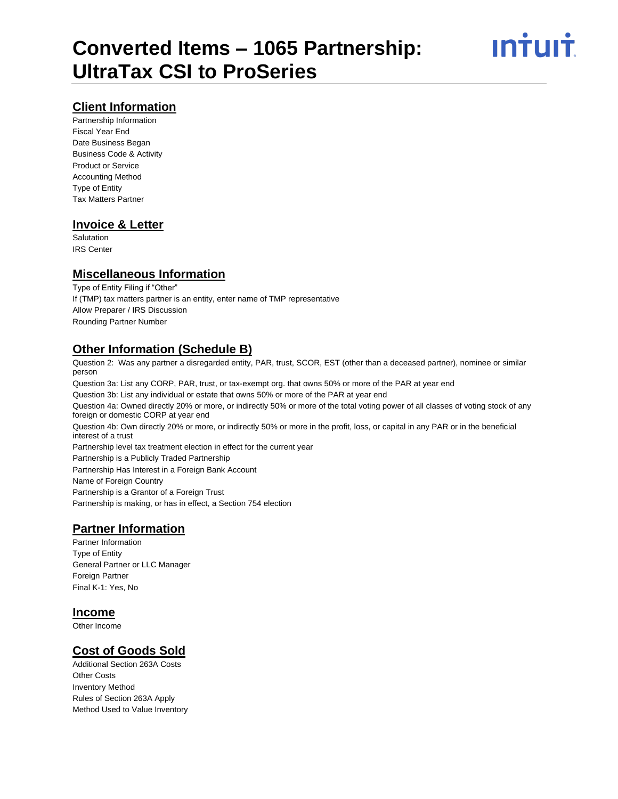#### **Client Information**

Partnership Information Fiscal Year End Date Business Began Business Code & Activity Product or Service Accounting Method Type of Entity Tax Matters Partner

#### **Invoice & Letter**

**Salutation** IRS Center

#### **Miscellaneous Information**

Type of Entity Filing if "Other" If (TMP) tax matters partner is an entity, enter name of TMP representative Allow Preparer / IRS Discussion Rounding Partner Number

#### **Other Information (Schedule B)**

Question 2: Was any partner a disregarded entity, PAR, trust, SCOR, EST (other than a deceased partner), nominee or similar person

Question 3a: List any CORP, PAR, trust, or tax-exempt org. that owns 50% or more of the PAR at year end Question 3b: List any individual or estate that owns 50% or more of the PAR at year end

Question 4a: Owned directly 20% or more, or indirectly 50% or more of the total voting power of all classes of voting stock of any foreign or domestic CORP at year end

Question 4b: Own directly 20% or more, or indirectly 50% or more in the profit, loss, or capital in any PAR or in the beneficial interest of a trust

Partnership level tax treatment election in effect for the current year Partnership is a Publicly Traded Partnership Partnership Has Interest in a Foreign Bank Account Name of Foreign Country Partnership is a Grantor of a Foreign Trust Partnership is making, or has in effect, a Section 754 election

# **Partner Information**

Partner Information Type of Entity General Partner or LLC Manager Foreign Partner Final K-1: Yes, No

#### **Income**

Other Income

#### **Cost of Goods Sold**

Additional Section 263A Costs Other Costs Inventory Method Rules of Section 263A Apply Method Used to Value Inventory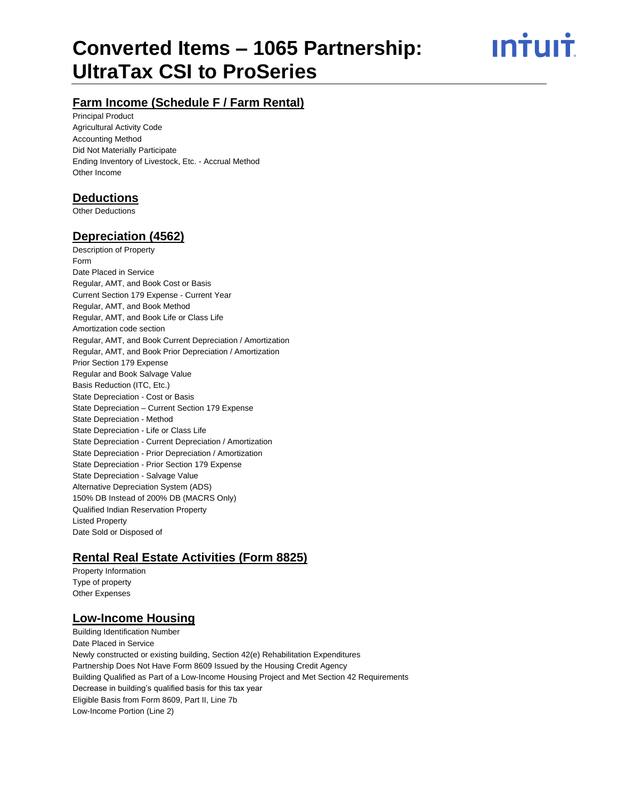# **Converted Items – 1065 Partnership: UltraTax CSI to ProSeries**

<u>ıntuıt</u>

# **Farm Income (Schedule F / Farm Rental)**

Principal Product Agricultural Activity Code Accounting Method Did Not Materially Participate Ending Inventory of Livestock, Etc. - Accrual Method Other Income

#### **Deductions**

Other Deductions

#### **Depreciation (4562)**

Description of Property Form Date Placed in Service Regular, AMT, and Book Cost or Basis Current Section 179 Expense - Current Year Regular, AMT, and Book Method Regular, AMT, and Book Life or Class Life Amortization code section Regular, AMT, and Book Current Depreciation / Amortization Regular, AMT, and Book Prior Depreciation / Amortization Prior Section 179 Expense Regular and Book Salvage Value Basis Reduction (ITC, Etc.) State Depreciation - Cost or Basis State Depreciation – Current Section 179 Expense State Depreciation - Method State Depreciation - Life or Class Life State Depreciation - Current Depreciation / Amortization State Depreciation - Prior Depreciation / Amortization State Depreciation - Prior Section 179 Expense State Depreciation - Salvage Value Alternative Depreciation System (ADS) 150% DB Instead of 200% DB (MACRS Only) Qualified Indian Reservation Property Listed Property Date Sold or Disposed of

#### **Rental Real Estate Activities (Form 8825)**

Property Information Type of property Other Expenses

#### **Low-Income Housing**

Building Identification Number Date Placed in Service Newly constructed or existing building, Section 42(e) Rehabilitation Expenditures Partnership Does Not Have Form 8609 Issued by the Housing Credit Agency Building Qualified as Part of a Low-Income Housing Project and Met Section 42 Requirements Decrease in building's qualified basis for this tax year Eligible Basis from Form 8609, Part II, Line 7b Low-Income Portion (Line 2)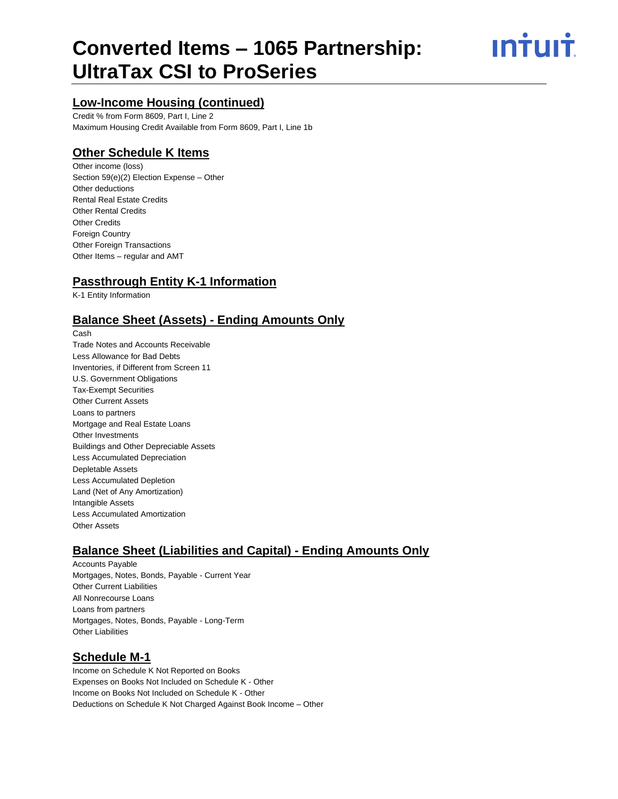# **Converted Items – 1065 Partnership: UltraTax CSI to ProSeries**

# ın<del>i</del>uı<del>i</del>

# **Low-Income Housing (continued)**

Credit % from Form 8609, Part I, Line 2 Maximum Housing Credit Available from Form 8609, Part I, Line 1b

# **Other Schedule K Items**

Other income (loss) Section 59(e)(2) Election Expense – Other Other deductions Rental Real Estate Credits Other Rental Credits Other Credits Foreign Country Other Foreign Transactions Other Items – regular and AMT

#### **Passthrough Entity K-1 Information**

K-1 Entity Information

## **Balance Sheet (Assets) - Ending Amounts Only**

Cash Trade Notes and Accounts Receivable Less Allowance for Bad Debts Inventories, if Different from Screen 11 U.S. Government Obligations Tax-Exempt Securities Other Current Assets Loans to partners Mortgage and Real Estate Loans Other Investments Buildings and Other Depreciable Assets Less Accumulated Depreciation Depletable Assets Less Accumulated Depletion Land (Net of Any Amortization) Intangible Assets Less Accumulated Amortization Other Assets

## **Balance Sheet (Liabilities and Capital) - Ending Amounts Only**

Accounts Payable Mortgages, Notes, Bonds, Payable - Current Year Other Current Liabilities All Nonrecourse Loans Loans from partners Mortgages, Notes, Bonds, Payable - Long-Term Other Liabilities

## **Schedule M-1**

Income on Schedule K Not Reported on Books Expenses on Books Not Included on Schedule K - Other Income on Books Not Included on Schedule K - Other Deductions on Schedule K Not Charged Against Book Income – Other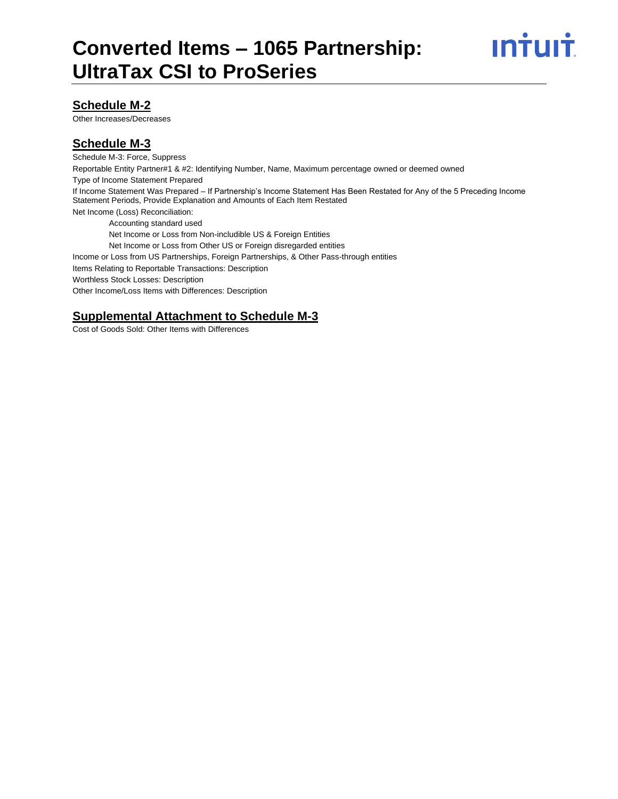

#### **Schedule M-2**

Other Increases/Decreases

#### **Schedule M-3**

Schedule M-3: Force, Suppress Reportable Entity Partner#1 & #2: Identifying Number, Name, Maximum percentage owned or deemed owned Type of Income Statement Prepared If Income Statement Was Prepared – If Partnership's Income Statement Has Been Restated for Any of the 5 Preceding Income Statement Periods, Provide Explanation and Amounts of Each Item Restated Net Income (Loss) Reconciliation: Accounting standard used Net Income or Loss from Non-includible US & Foreign Entities Net Income or Loss from Other US or Foreign disregarded entities Income or Loss from US Partnerships, Foreign Partnerships, & Other Pass-through entities Items Relating to Reportable Transactions: Description Worthless Stock Losses: Description Other Income/Loss Items with Differences: Description

## **Supplemental Attachment to Schedule M-3**

Cost of Goods Sold: Other Items with Differences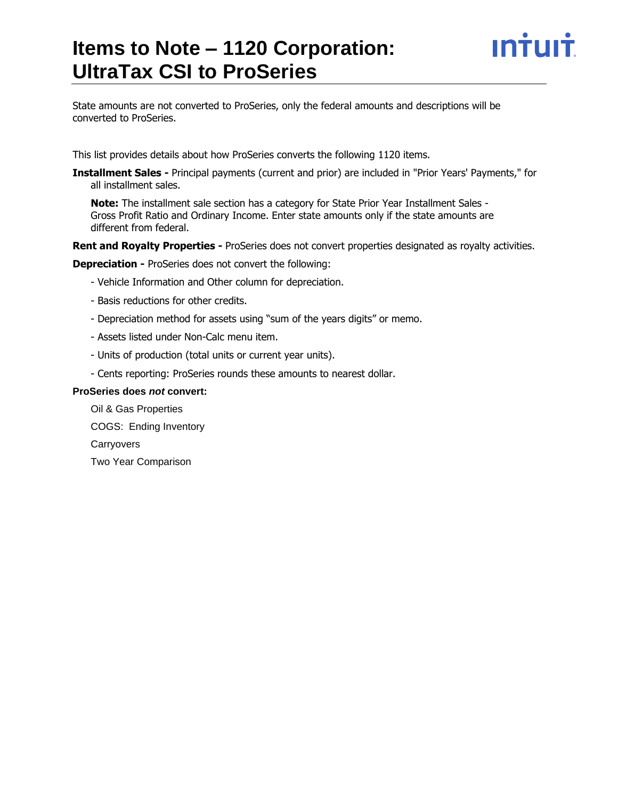# **Items to Note – 1120 Corporation: UltraTax CSI to ProSeries**



State amounts are not converted to ProSeries, only the federal amounts and descriptions will be converted to ProSeries.

This list provides details about how ProSeries converts the following 1120 items.

**Installment Sales -** Principal payments (current and prior) are included in "Prior Years' Payments," for all installment sales.

**Note:** The installment sale section has a category for State Prior Year Installment Sales - Gross Profit Ratio and Ordinary Income. Enter state amounts only if the state amounts are different from federal.

**Rent and Royalty Properties -** ProSeries does not convert properties designated as royalty activities.

**Depreciation -** ProSeries does not convert the following:

- Vehicle Information and Other column for depreciation.
- Basis reductions for other credits.
- Depreciation method for assets using "sum of the years digits" or memo.
- Assets listed under Non-Calc menu item.
- Units of production (total units or current year units).
- Cents reporting: ProSeries rounds these amounts to nearest dollar.

#### **ProSeries does** *not* **convert:**

Oil & Gas Properties COGS: Ending Inventory **Carryovers** Two Year Comparison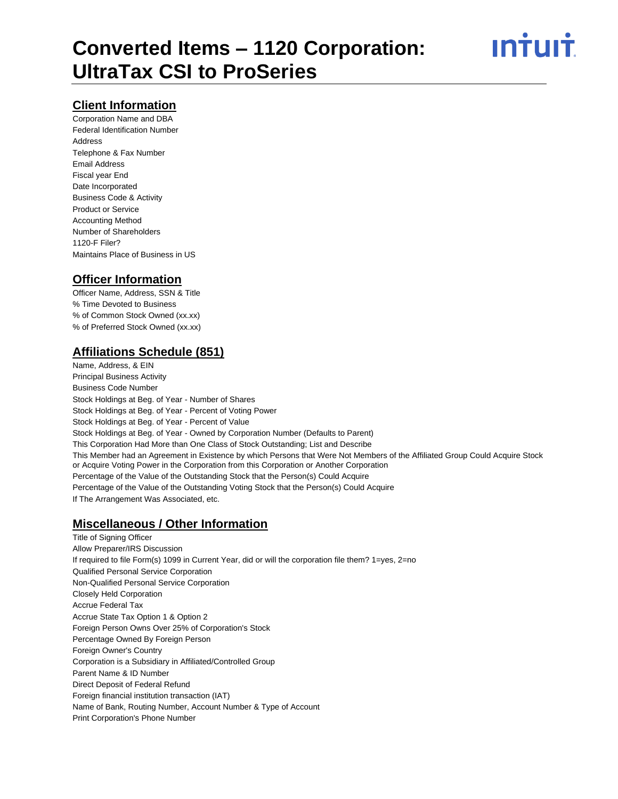

#### **Client Information**

Corporation Name and DBA Federal Identification Number Address Telephone & Fax Number Email Address Fiscal year End Date Incorporated Business Code & Activity Product or Service Accounting Method Number of Shareholders 1120-F Filer? Maintains Place of Business in US

#### **Officer Information**

Officer Name, Address, SSN & Title % Time Devoted to Business % of Common Stock Owned (xx.xx) % of Preferred Stock Owned (xx.xx)

## **Affiliations Schedule (851)**

Name, Address, & EIN Principal Business Activity Business Code Number Stock Holdings at Beg. of Year - Number of Shares Stock Holdings at Beg. of Year - Percent of Voting Power Stock Holdings at Beg. of Year - Percent of Value Stock Holdings at Beg. of Year - Owned by Corporation Number (Defaults to Parent) This Corporation Had More than One Class of Stock Outstanding; List and Describe This Member had an Agreement in Existence by which Persons that Were Not Members of the Affiliated Group Could Acquire Stock or Acquire Voting Power in the Corporation from this Corporation or Another Corporation Percentage of the Value of the Outstanding Stock that the Person(s) Could Acquire Percentage of the Value of the Outstanding Voting Stock that the Person(s) Could Acquire If The Arrangement Was Associated, etc.

#### **Miscellaneous / Other Information**

Title of Signing Officer Allow Preparer/IRS Discussion If required to file Form(s) 1099 in Current Year, did or will the corporation file them? 1=yes, 2=no Qualified Personal Service Corporation Non-Qualified Personal Service Corporation Closely Held Corporation Accrue Federal Tax Accrue State Tax Option 1 & Option 2 Foreign Person Owns Over 25% of Corporation's Stock Percentage Owned By Foreign Person Foreign Owner's Country Corporation is a Subsidiary in Affiliated/Controlled Group Parent Name & ID Number Direct Deposit of Federal Refund Foreign financial institution transaction (IAT) Name of Bank, Routing Number, Account Number & Type of Account Print Corporation's Phone Number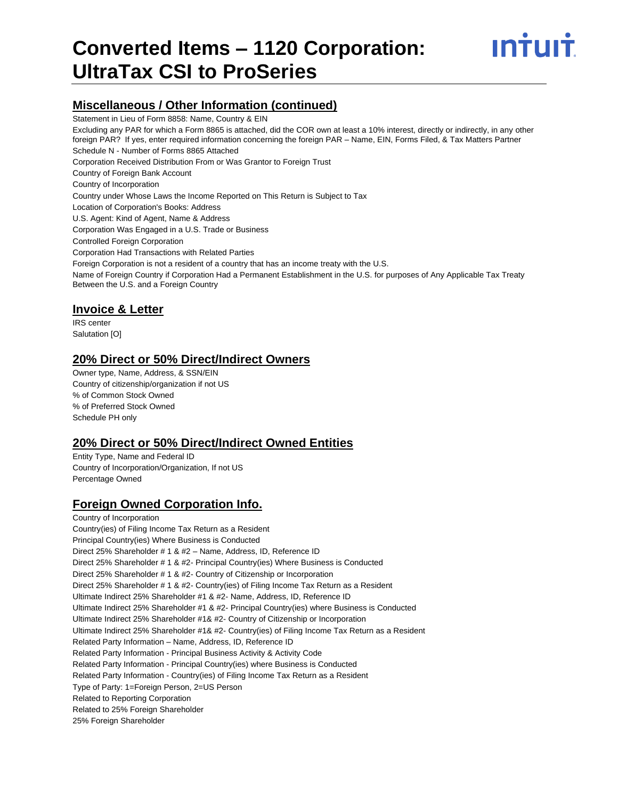

#### **Miscellaneous / Other Information (continued)**

Statement in Lieu of Form 8858: Name, Country & EIN

Excluding any PAR for which a Form 8865 is attached, did the COR own at least a 10% interest, directly or indirectly, in any other foreign PAR? If yes, enter required information concerning the foreign PAR – Name, EIN, Forms Filed, & Tax Matters Partner Schedule N - Number of Forms 8865 Attached Corporation Received Distribution From or Was Grantor to Foreign Trust Country of Foreign Bank Account Country of Incorporation Country under Whose Laws the Income Reported on This Return is Subject to Tax Location of Corporation's Books: Address U.S. Agent: Kind of Agent, Name & Address Corporation Was Engaged in a U.S. Trade or Business Controlled Foreign Corporation Corporation Had Transactions with Related Parties Foreign Corporation is not a resident of a country that has an income treaty with the U.S. Name of Foreign Country if Corporation Had a Permanent Establishment in the U.S. for purposes of Any Applicable Tax Treaty Between the U.S. and a Foreign Country

#### **Invoice & Letter**

IRS center Salutation [O]

#### **20% Direct or 50% Direct/Indirect Owners**

Owner type, Name, Address, & SSN/EIN Country of citizenship/organization if not US % of Common Stock Owned % of Preferred Stock Owned Schedule PH only

#### **20% Direct or 50% Direct/Indirect Owned Entities**

Entity Type, Name and Federal ID Country of Incorporation/Organization, If not US Percentage Owned

#### **Foreign Owned Corporation Info.**

Country of Incorporation Country(ies) of Filing Income Tax Return as a Resident Principal Country(ies) Where Business is Conducted Direct 25% Shareholder # 1 & #2 – Name, Address, ID, Reference ID Direct 25% Shareholder # 1 & #2- Principal Country(ies) Where Business is Conducted Direct 25% Shareholder # 1 & #2- Country of Citizenship or Incorporation Direct 25% Shareholder # 1 & #2- Country(ies) of Filing Income Tax Return as a Resident Ultimate Indirect 25% Shareholder #1 & #2- Name, Address, ID, Reference ID Ultimate Indirect 25% Shareholder #1 & #2- Principal Country(ies) where Business is Conducted Ultimate Indirect 25% Shareholder #1& #2- Country of Citizenship or Incorporation Ultimate Indirect 25% Shareholder #1& #2- Country(ies) of Filing Income Tax Return as a Resident Related Party Information – Name, Address, ID, Reference ID Related Party Information - Principal Business Activity & Activity Code Related Party Information - Principal Country(ies) where Business is Conducted Related Party Information - Country(ies) of Filing Income Tax Return as a Resident Type of Party: 1=Foreign Person, 2=US Person Related to Reporting Corporation Related to 25% Foreign Shareholder 25% Foreign Shareholder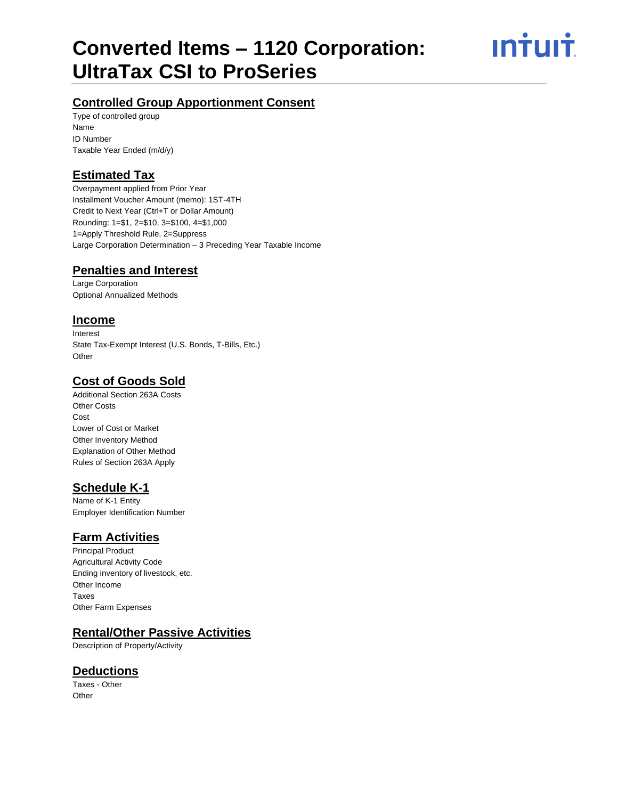ın<del>i</del>uı<del>i</del>

# **Controlled Group Apportionment Consent**

Type of controlled group Name ID Number Taxable Year Ended (m/d/y)

# **Estimated Tax**

Overpayment applied from Prior Year Installment Voucher Amount (memo): 1ST-4TH Credit to Next Year (Ctrl+T or Dollar Amount) Rounding: 1=\$1, 2=\$10, 3=\$100, 4=\$1,000 1=Apply Threshold Rule, 2=Suppress Large Corporation Determination – 3 Preceding Year Taxable Income

# **Penalties and Interest**

Large Corporation Optional Annualized Methods

#### **Income**

Interest State Tax-Exempt Interest (U.S. Bonds, T-Bills, Etc.) Other

# **Cost of Goods Sold**

Additional Section 263A Costs Other Costs **Cost** Lower of Cost or Market Other Inventory Method Explanation of Other Method Rules of Section 263A Apply

## **Schedule K-1**

Name of K-1 Entity Employer Identification Number

#### **Farm Activities**

Principal Product Agricultural Activity Code Ending inventory of livestock, etc. Other Income Taxes Other Farm Expenses

#### **Rental/Other Passive Activities**

Description of Property/Activity

#### **Deductions**

Taxes - Other **Other**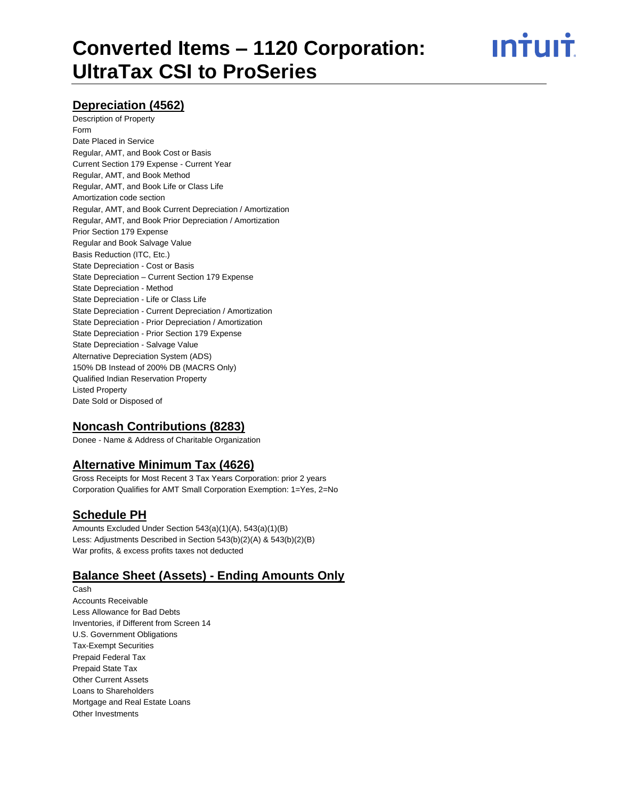ın†uı†

#### **Depreciation (4562)**

Description of Property Form Date Placed in Service Regular, AMT, and Book Cost or Basis Current Section 179 Expense - Current Year Regular, AMT, and Book Method Regular, AMT, and Book Life or Class Life Amortization code section Regular, AMT, and Book Current Depreciation / Amortization Regular, AMT, and Book Prior Depreciation / Amortization Prior Section 179 Expense Regular and Book Salvage Value Basis Reduction (ITC, Etc.) State Depreciation - Cost or Basis State Depreciation – Current Section 179 Expense State Depreciation - Method State Depreciation - Life or Class Life State Depreciation - Current Depreciation / Amortization State Depreciation - Prior Depreciation / Amortization State Depreciation - Prior Section 179 Expense State Depreciation - Salvage Value Alternative Depreciation System (ADS) 150% DB Instead of 200% DB (MACRS Only) Qualified Indian Reservation Property Listed Property Date Sold or Disposed of

#### **Noncash Contributions (8283)**

Donee - Name & Address of Charitable Organization

#### **Alternative Minimum Tax (4626)**

Gross Receipts for Most Recent 3 Tax Years Corporation: prior 2 years Corporation Qualifies for AMT Small Corporation Exemption: 1=Yes, 2=No

#### **Schedule PH**

Amounts Excluded Under Section 543(a)(1)(A), 543(a)(1)(B) Less: Adjustments Described in Section 543(b)(2)(A) & 543(b)(2)(B) War profits, & excess profits taxes not deducted

#### **Balance Sheet (Assets) - Ending Amounts Only**

Cash Accounts Receivable Less Allowance for Bad Debts Inventories, if Different from Screen 14 U.S. Government Obligations Tax-Exempt Securities Prepaid Federal Tax Prepaid State Tax Other Current Assets Loans to Shareholders Mortgage and Real Estate Loans Other Investments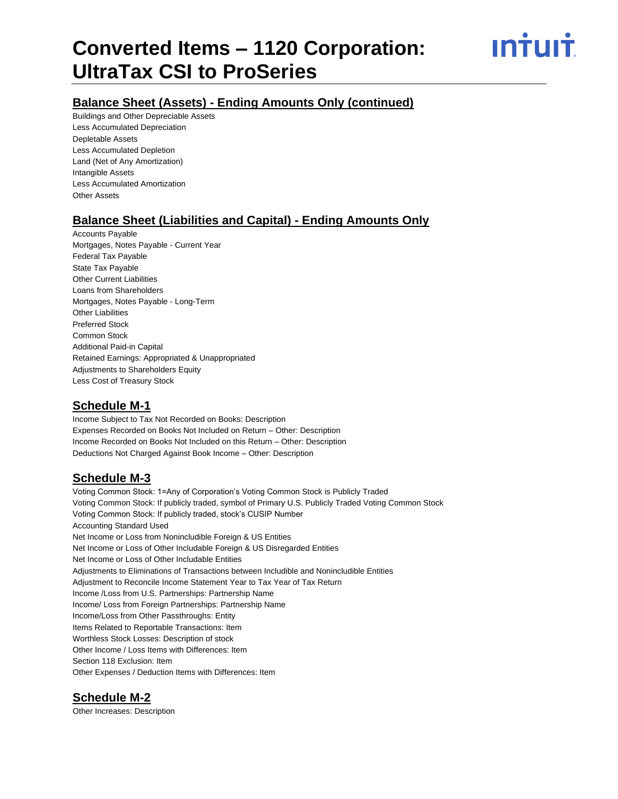ın†uı†

### **Balance Sheet (Assets) - Ending Amounts Only (continued)**

Buildings and Other Depreciable Assets Less Accumulated Depreciation Depletable Assets Less Accumulated Depletion Land (Net of Any Amortization) Intangible Assets Less Accumulated Amortization Other Assets

# **Balance Sheet (Liabilities and Capital) - Ending Amounts Only**

Accounts Payable Mortgages, Notes Payable - Current Year Federal Tax Payable State Tax Payable Other Current Liabilities Loans from Shareholders Mortgages, Notes Payable - Long-Term Other Liabilities Preferred Stock Common Stock Additional Paid-in Capital Retained Earnings: Appropriated & Unappropriated Adjustments to Shareholders Equity Less Cost of Treasury Stock

#### **Schedule M-1**

Income Subject to Tax Not Recorded on Books: Description Expenses Recorded on Books Not Included on Return – Other: Description Income Recorded on Books Not Included on this Return – Other: Description Deductions Not Charged Against Book Income – Other: Description

## **Schedule M-3**

Voting Common Stock: 1=Any of Corporation's Voting Common Stock is Publicly Traded Voting Common Stock: If publicly traded, symbol of Primary U.S. Publicly Traded Voting Common Stock Voting Common Stock: If publicly traded, stock's CUSIP Number Accounting Standard Used Net Income or Loss from Nonincludible Foreign & US Entities Net Income or Loss of Other Includable Foreign & US Disregarded Entities Net Income or Loss of Other Includable Entities Adjustments to Eliminations of Transactions between Includible and Nonincludible Entities Adjustment to Reconcile Income Statement Year to Tax Year of Tax Return Income /Loss from U.S. Partnerships: Partnership Name Income/ Loss from Foreign Partnerships: Partnership Name Income/Loss from Other Passthroughs: Entity Items Related to Reportable Transactions: Item Worthless Stock Losses: Description of stock Other Income / Loss Items with Differences: Item Section 118 Exclusion: Item Other Expenses / Deduction Items with Differences: Item

## **Schedule M-2**

Other Increases: Description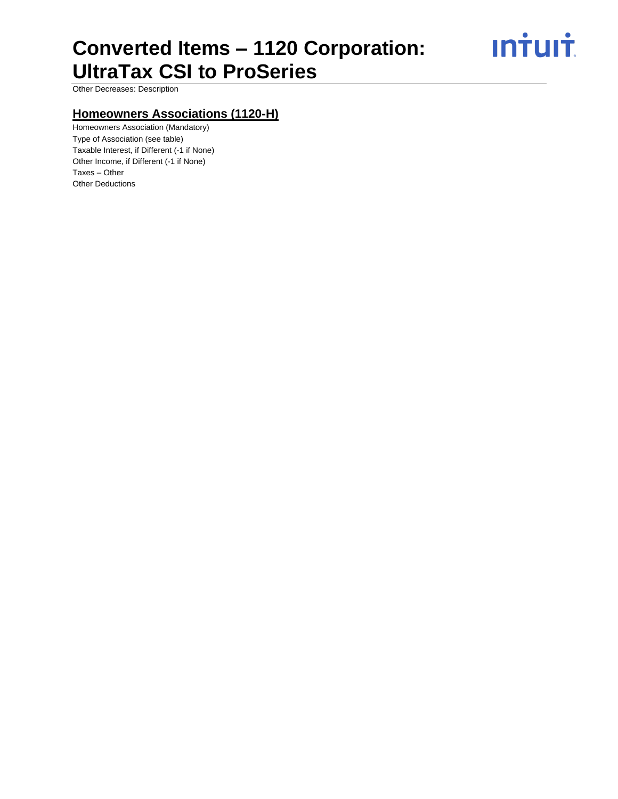**Intuit** 

Other Decreases: Description

## **Homeowners Associations (1120-H)**

Homeowners Association (Mandatory) Type of Association (see table) Taxable Interest, if Different (-1 if None) Other Income, if Different (-1 if None) Taxes – Other Other Deductions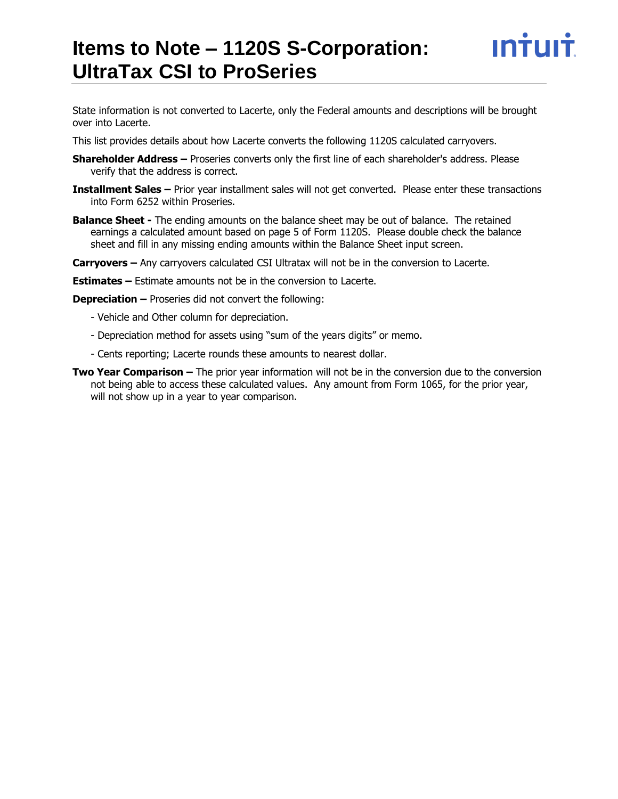# **Items to Note – 1120S S-Corporation: UltraTax CSI to ProSeries**

State information is not converted to Lacerte, only the Federal amounts and descriptions will be brought over into Lacerte.

This list provides details about how Lacerte converts the following 1120S calculated carryovers.

- **Shareholder Address –** Proseries converts only the first line of each shareholder's address. Please verify that the address is correct.
- **Installment Sales –** Prior year installment sales will not get converted. Please enter these transactions into Form 6252 within Proseries.
- **Balance Sheet -** The ending amounts on the balance sheet may be out of balance. The retained earnings a calculated amount based on page 5 of Form 1120S. Please double check the balance sheet and fill in any missing ending amounts within the Balance Sheet input screen.
- **Carryovers –** Any carryovers calculated CSI Ultratax will not be in the conversion to Lacerte.

**Estimates –** Estimate amounts not be in the conversion to Lacerte.

**Depreciation –** Proseries did not convert the following:

- Vehicle and Other column for depreciation.
- Depreciation method for assets using "sum of the years digits" or memo.
- Cents reporting; Lacerte rounds these amounts to nearest dollar.
- **Two Year Comparison –** The prior year information will not be in the conversion due to the conversion not being able to access these calculated values. Any amount from Form 1065, for the prior year, will not show up in a year to year comparison.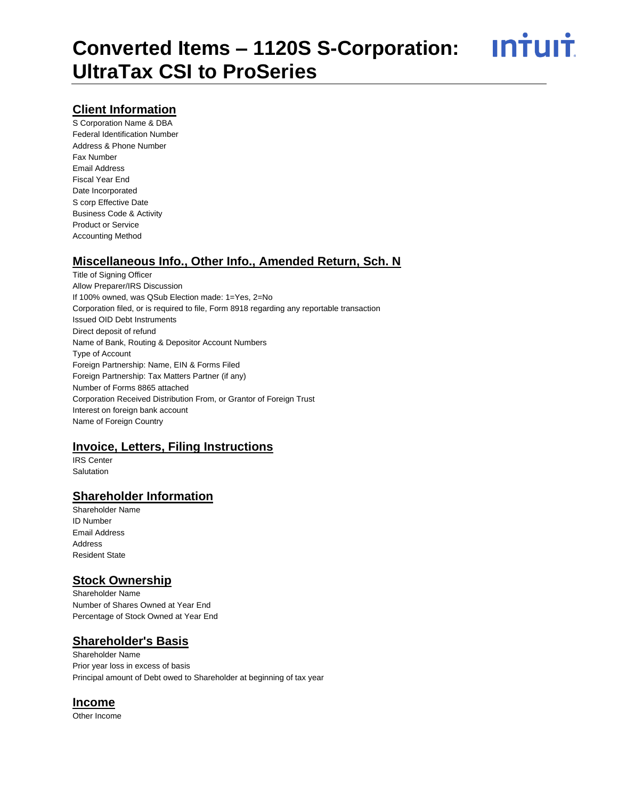<u>**Intuit**</u>

#### **Client Information**

S Corporation Name & DBA Federal Identification Number Address & Phone Number Fax Number Email Address Fiscal Year End Date Incorporated S corp Effective Date Business Code & Activity Product or Service Accounting Method

#### **Miscellaneous Info., Other Info., Amended Return, Sch. N**

Title of Signing Officer Allow Preparer/IRS Discussion If 100% owned, was QSub Election made: 1=Yes, 2=No Corporation filed, or is required to file, Form 8918 regarding any reportable transaction Issued OID Debt Instruments Direct deposit of refund Name of Bank, Routing & Depositor Account Numbers Type of Account Foreign Partnership: Name, EIN & Forms Filed Foreign Partnership: Tax Matters Partner (if any) Number of Forms 8865 attached Corporation Received Distribution From, or Grantor of Foreign Trust Interest on foreign bank account Name of Foreign Country

#### **Invoice, Letters, Filing Instructions**

IRS Center **Salutation** 

#### **Shareholder Information**

Shareholder Name ID Number Email Address Address Resident State

#### **Stock Ownership**

Shareholder Name Number of Shares Owned at Year End Percentage of Stock Owned at Year End

#### **Shareholder's Basis**

Shareholder Name Prior year loss in excess of basis Principal amount of Debt owed to Shareholder at beginning of tax year

#### **Income**

Other Income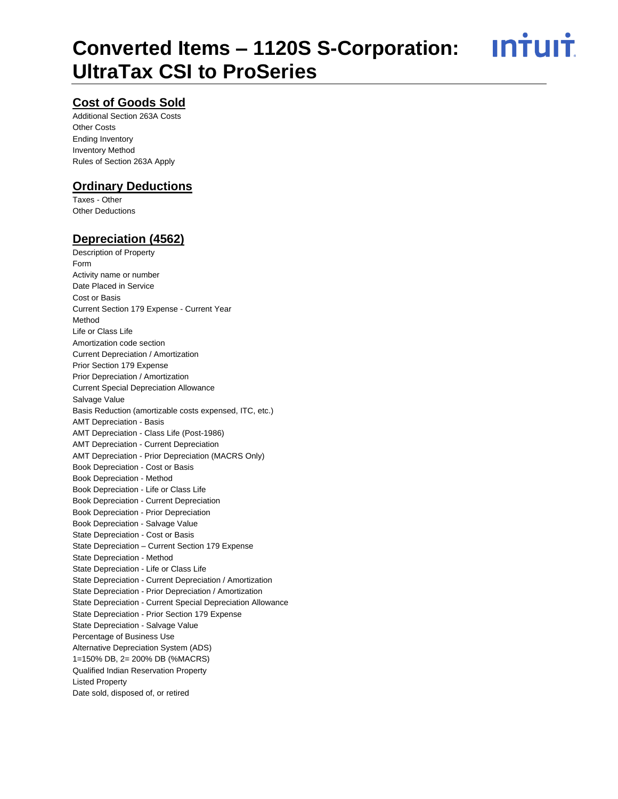<u>**Intuit**</u>

## **Cost of Goods Sold**

Additional Section 263A Costs Other Costs Ending Inventory Inventory Method Rules of Section 263A Apply

#### **Ordinary Deductions**

Taxes - Other Other Deductions

#### **Depreciation (4562)**

Description of Property Form Activity name or number Date Placed in Service Cost or Basis Current Section 179 Expense - Current Year Method Life or Class Life Amortization code section Current Depreciation / Amortization Prior Section 179 Expense Prior Depreciation / Amortization Current Special Depreciation Allowance Salvage Value Basis Reduction (amortizable costs expensed, ITC, etc.) AMT Depreciation - Basis AMT Depreciation - Class Life (Post-1986) AMT Depreciation - Current Depreciation AMT Depreciation - Prior Depreciation (MACRS Only) Book Depreciation - Cost or Basis Book Depreciation - Method Book Depreciation - Life or Class Life Book Depreciation - Current Depreciation Book Depreciation - Prior Depreciation Book Depreciation - Salvage Value State Depreciation - Cost or Basis State Depreciation – Current Section 179 Expense State Depreciation - Method State Depreciation - Life or Class Life State Depreciation - Current Depreciation / Amortization State Depreciation - Prior Depreciation / Amortization State Depreciation - Current Special Depreciation Allowance State Depreciation - Prior Section 179 Expense State Depreciation - Salvage Value Percentage of Business Use Alternative Depreciation System (ADS) 1=150% DB, 2= 200% DB (%MACRS) Qualified Indian Reservation Property Listed Property Date sold, disposed of, or retired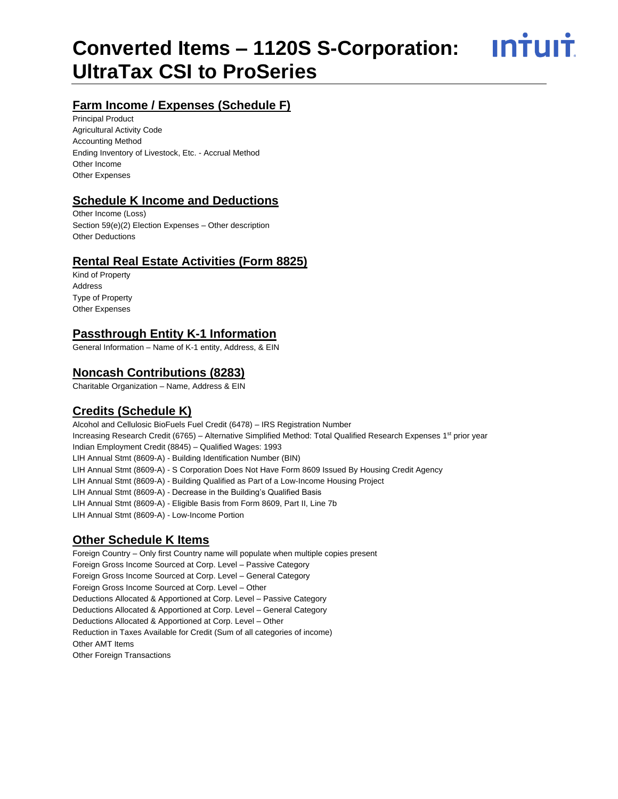<u>**INTUIT**</u>

# **Farm Income / Expenses (Schedule F)**

Principal Product Agricultural Activity Code Accounting Method Ending Inventory of Livestock, Etc. - Accrual Method Other Income Other Expenses

#### **Schedule K Income and Deductions**

Other Income (Loss) Section 59(e)(2) Election Expenses – Other description Other Deductions

#### **Rental Real Estate Activities (Form 8825)**

Kind of Property Address Type of Property Other Expenses

#### **Passthrough Entity K-1 Information**

General Information – Name of K-1 entity, Address, & EIN

#### **Noncash Contributions (8283)**

Charitable Organization – Name, Address & EIN

## **Credits (Schedule K)**

Alcohol and Cellulosic BioFuels Fuel Credit (6478) – IRS Registration Number Increasing Research Credit (6765) – Alternative Simplified Method: Total Qualified Research Expenses 1<sup>st</sup> prior year Indian Employment Credit (8845) – Qualified Wages: 1993 LIH Annual Stmt (8609-A) - Building Identification Number (BIN) LIH Annual Stmt (8609-A) - S Corporation Does Not Have Form 8609 Issued By Housing Credit Agency LIH Annual Stmt (8609-A) - Building Qualified as Part of a Low-Income Housing Project LIH Annual Stmt (8609-A) - Decrease in the Building's Qualified Basis LIH Annual Stmt (8609-A) - Eligible Basis from Form 8609, Part II, Line 7b LIH Annual Stmt (8609-A) - Low-Income Portion

## **Other Schedule K Items**

Foreign Country – Only first Country name will populate when multiple copies present Foreign Gross Income Sourced at Corp. Level – Passive Category Foreign Gross Income Sourced at Corp. Level – General Category Foreign Gross Income Sourced at Corp. Level – Other Deductions Allocated & Apportioned at Corp. Level – Passive Category Deductions Allocated & Apportioned at Corp. Level – General Category Deductions Allocated & Apportioned at Corp. Level – Other Reduction in Taxes Available for Credit (Sum of all categories of income) Other AMT Items Other Foreign Transactions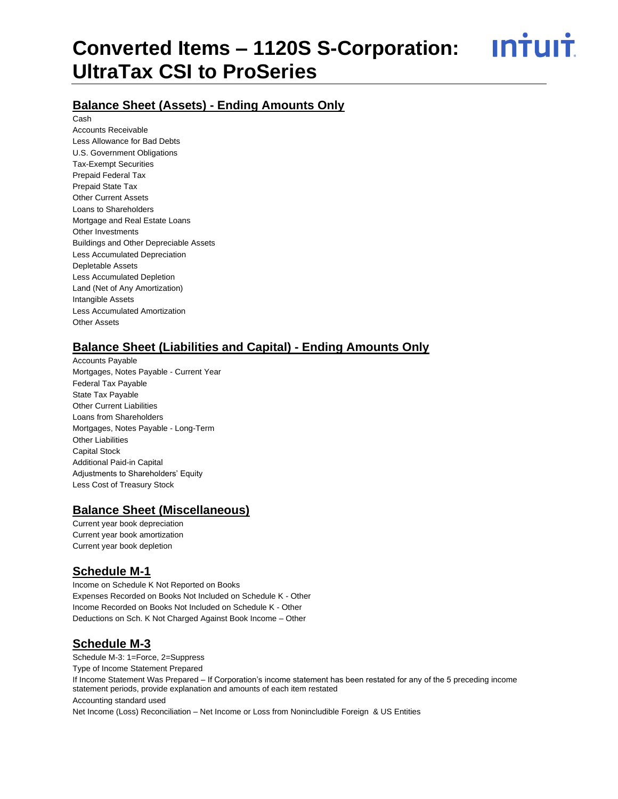<u>ıntuıt</u>

#### **Balance Sheet (Assets) - Ending Amounts Only**

Cash Accounts Receivable Less Allowance for Bad Debts U.S. Government Obligations Tax-Exempt Securities Prepaid Federal Tax Prepaid State Tax Other Current Assets Loans to Shareholders Mortgage and Real Estate Loans Other Investments Buildings and Other Depreciable Assets Less Accumulated Depreciation Depletable Assets Less Accumulated Depletion Land (Net of Any Amortization) Intangible Assets Less Accumulated Amortization Other Assets

#### **Balance Sheet (Liabilities and Capital) - Ending Amounts Only**

Accounts Payable Mortgages, Notes Payable - Current Year Federal Tax Payable State Tax Payable Other Current Liabilities Loans from Shareholders Mortgages, Notes Payable - Long-Term Other Liabilities Capital Stock Additional Paid-in Capital Adjustments to Shareholders' Equity Less Cost of Treasury Stock

#### **Balance Sheet (Miscellaneous)**

Current year book depreciation Current year book amortization Current year book depletion

#### **Schedule M-1**

Income on Schedule K Not Reported on Books Expenses Recorded on Books Not Included on Schedule K - Other Income Recorded on Books Not Included on Schedule K - Other Deductions on Sch. K Not Charged Against Book Income – Other

## **Schedule M-3**

Schedule M-3: 1=Force, 2=Suppress Type of Income Statement Prepared If Income Statement Was Prepared – If Corporation's income statement has been restated for any of the 5 preceding income statement periods, provide explanation and amounts of each item restated Accounting standard used Net Income (Loss) Reconciliation – Net Income or Loss from Nonincludible Foreign & US Entities